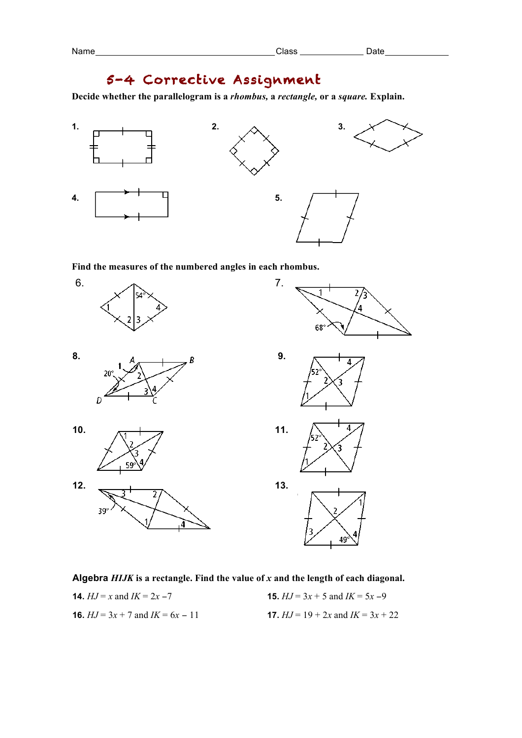## 5-4 Corrective Assignment

**Decide whether the parallelogram is a** *rhombus,* **a** *rectangle,* **or a** *square.* **Explain.**



 $\overline{\mathbf{2}}$ 

49

**Find the measures of the numbered angles in each rhombus.**



## **Algebra** *HIJK* **is a rectangle. Find the value of** *x* **and the length of each diagonal.**

**14.**  $HJ = x$  and  $IK = 2x - 7$  **15.**  $HJ = 3x + 5$  and  $IK = 5x - 9$ **16.**  $HJ = 3x + 7$  and  $IK = 6x - 11$  **17.**  $HJ = 19 + 2x$  and  $IK = 3x + 22$